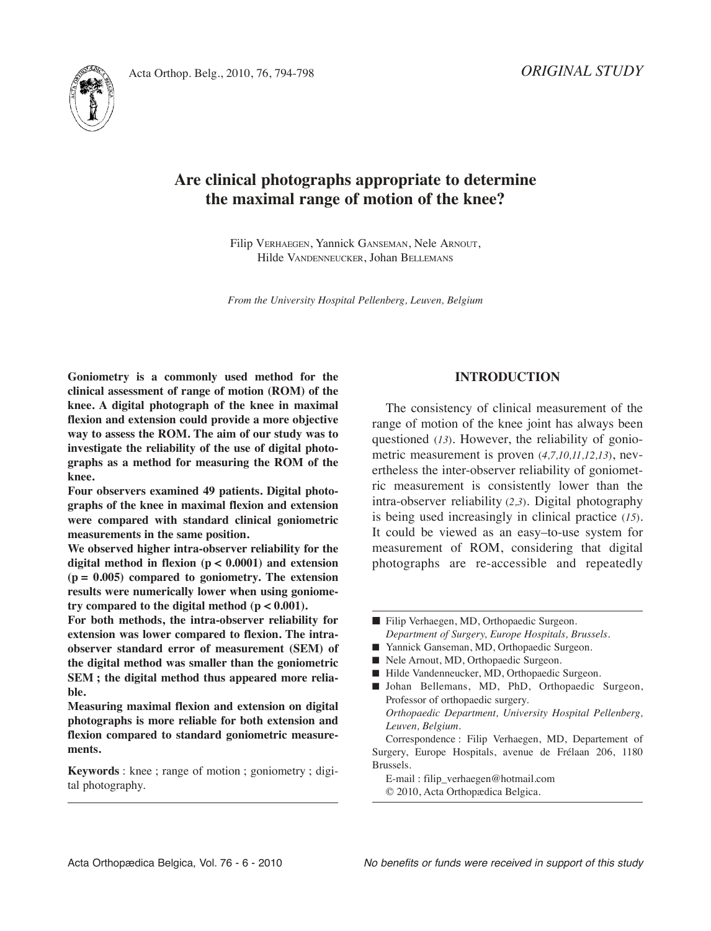

# **Are clinical photographs appropriate to determine the maximal range of motion of the knee?**

Filip VErHAEGEN, Yannick GANSEMAN, Nele ArNOut, Hilde VANDENNEuCkEr, Johan BEllEMANS

*From the University Hospital Pellenberg, Leuven, Belgium*

**Goniometry is a commonly used method for the clinical assessment of range of motion (ROM) of the knee. A digital photograph of the knee in maximal flexion and extension could provide a more objective way to assess the ROM. The aim of our study was to investigate the reliability of the use of digital photographs as a method for measuring the ROM of the knee.**

**Four observers examined 49 patients. Digital photographs of the knee in maximal flexion and extension were compared with standard clinical goniometric measurements in the same position.**

**We observed higher intra-observer reliability for the digital method in flexion (p < 0.0001) and extension (p = 0.005) compared to goniometry. The extension results were numerically lower when using goniometry compared to the digital method**  $(p < 0.001)$ .

**For both methods, the intra-observer reliability for extension was lower compared to flexion. The intraobserver standard error of measurement (SEM) of the digital method was smaller than the goniometric SEM ; the digital method thus appeared more reliable.**

**Measuring maximal flexion and extension on digital photographs is more reliable for both extension and flexion compared to standard goniometric measurements.**

**Keywords** : knee ; range of motion ; goniometry ; digital photography.

# **INTRODUCTION**

The consistency of clinical measurement of the range of motion of the knee joint has always been questioned (*13*). However, the reliability of goniometric measurement is proven (*4,7,10,11,12,13*), nevertheless the inter-observer reliability of goniometric measurement is consistently lower than the intra-observer reliability (*2,3*). Digital photography is being used increasingly in clinical practice (*15*). It could be viewed as an easy–to-use system for measurement of ROM, considering that digital photographs are re-accessible and repeatedly

- Yannick Ganseman, MD, Orthopaedic Surgeon.
- Nele Arnout, MD, Orthopaedic Surgeon.
- Hilde Vandenneucker, MD, Orthopaedic Surgeon.
- **■** Johan Bellemans, MD, PhD, Orthopaedic Surgeon, Professor of orthopaedic surgery. *Orthopaedic Department, University Hospital Pellenberg, Leuven, Belgium.* Correspondence : Filip Verhaegen, MD, Departement of Surgery, Europe Hospitals, avenue de Frélaan 206, 1180

Brussels. E-mail : filip\_verhaegen@hotmail.com © 2010, Acta Orthopædica Belgica.

<sup>■</sup> Filip Verhaegen, MD, Orthopaedic Surgeon. *Department of Surgery, Europe Hospitals, Brussels.*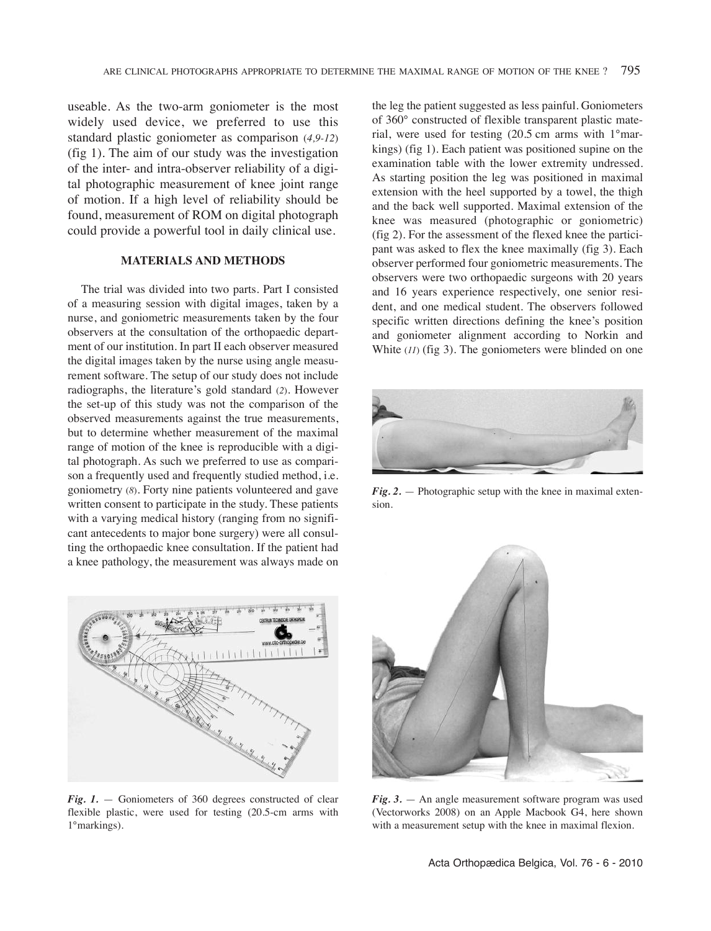useable. As the two-arm goniometer is the most widely used device, we preferred to use this standard plastic goniometer as comparison (*4,9-12*) (fig 1). The aim of our study was the investigation of the inter- and intra-observer reliability of a digital photographic measurement of knee joint range of motion. If a high level of reliability should be found, measurement of ROM on digital photograph could provide a powerful tool in daily clinical use.

## **MATERIALS AND METHODS**

The trial was divided into two parts. Part I consisted of a measuring session with digital images, taken by a nurse, and goniometric measurements taken by the four observers at the consultation of the orthopaedic department of our institution. In part II each observer measured the digital images taken by the nurse using angle measurement software. The setup of our study does not include radiographs, the literature's gold standard (*2*)*.* However the set-up of this study was not the comparison of the observed measurements against the true measurements, but to determine whether measurement of the maximal range of motion of the knee is reproducible with a digital photograph. As such we preferred to use as comparison a frequently used and frequently studied method, i.e. goniometry (*8*). Forty nine patients volunteered and gave written consent to participate in the study. These patients with a varying medical history (ranging from no significant antecedents to major bone surgery) were all consulting the orthopaedic knee consultation. If the patient had a knee pathology, the measurement was always made on



*Fig. 1.* — Goniometers of 360 degrees constructed of clear flexible plastic, were used for testing (20.5-cm arms with 1°markings).

the leg the patient suggested as less painful. Goniometers of 360° constructed of flexible transparent plastic material, were used for testing (20.5 cm arms with 1°markings) (fig 1). Each patient was positioned supine on the examination table with the lower extremity undressed. As starting position the leg was positioned in maximal extension with the heel supported by a towel, the thigh and the back well supported. Maximal extension of the knee was measured (photographic or goniometric) (fig 2). For the assessment of the flexed knee the participant was asked to flex the knee maximally (fig 3). Each observer performed four goniometric measurements. The observers were two orthopaedic surgeons with 20 years and 16 years experience respectively, one senior resident, and one medical student. The observers followed specific written directions defining the knee's position and goniometer alignment according to Norkin and White  $(11)$  (fig 3). The goniometers were blinded on one



*Fig. 2.* — Photographic setup with the knee in maximal extension.



*Fig. 3.* — An angle measurement software program was used (Vectorworks 2008) on an Apple Macbook G4, here shown with a measurement setup with the knee in maximal flexion.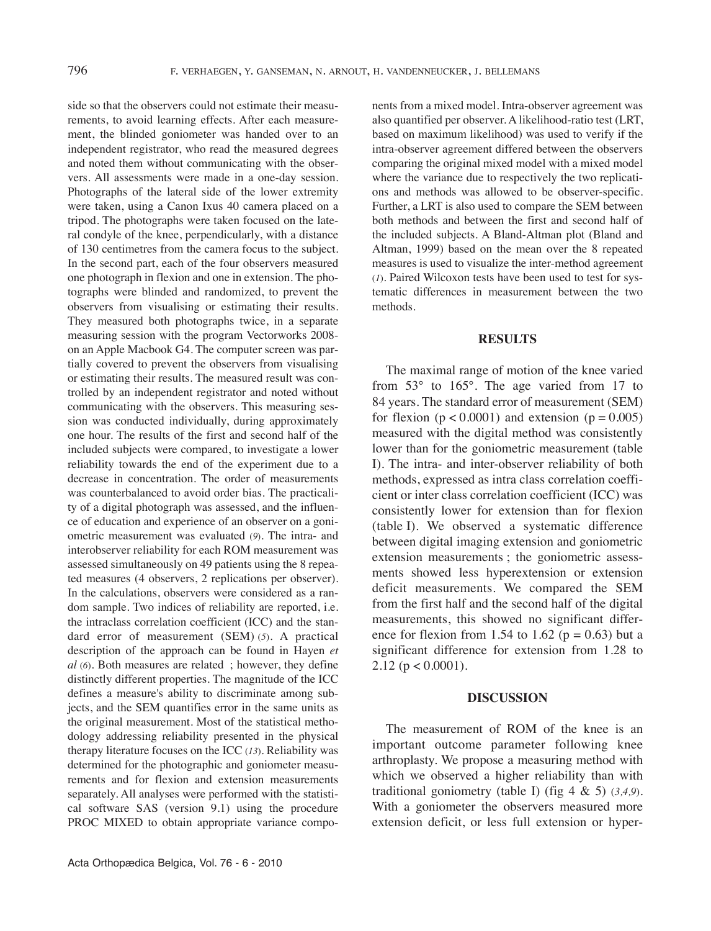side so that the observers could not estimate their measurements, to avoid learning effects. After each measurement, the blinded goniometer was handed over to an independent registrator, who read the measured degrees and noted them without communicating with the observers. All assessments were made in a one-day session. Photographs of the lateral side of the lower extremity were taken, using a Canon Ixus 40 camera placed on a tripod. The photographs were taken focused on the lateral condyle of the knee, perpendicularly, with a distance of 130 centimetres from the camera focus to the subject. In the second part, each of the four observers measured one photograph in flexion and one in extension. The photographs were blinded and randomized, to prevent the observers from visualising or estimating their results. They measured both photographs twice, in a separate measuring session with the program Vectorworks 2008 on an Apple Macbook G4. The computer screen was partially covered to prevent the observers from visualising or estimating their results. The measured result was controlled by an independent registrator and noted without communicating with the observers. This measuring session was conducted individually, during approximately one hour. The results of the first and second half of the included subjects were compared, to investigate a lower reliability towards the end of the experiment due to a decrease in concentration. The order of measurements was counterbalanced to avoid order bias. The practicality of a digital photograph was assessed, and the influence of education and experience of an observer on a goniometric measurement was evaluated (9). The intra- and interobserver reliability for each ROM measurement was assessed simultaneously on 49 patients using the 8 repeated measures (4 observers, 2 replications per observer). In the calculations, observers were considered as a random sample. Two indices of reliability are reported, i.e. the intraclass correlation coefficient (ICC) and the standard error of measurement (SEM) (*5*). A practical description of the approach can be found in Hayen *et al* (*6*). Both measures are related ; however, they define distinctly different properties. The magnitude of the ICC defines a measure's ability to discriminate among subjects, and the SEM quantifies error in the same units as the original measurement. Most of the statistical methodology addressing reliability presented in the physical therapy literature focuses on the ICC (13). Reliability was determined for the photographic and goniometer measurements and for flexion and extension measurements separately. All analyses were performed with the statistical software SAS (version 9.1) using the procedure PROC MIXED to obtain appropriate variance components from a mixed model. Intra-observer agreement was also quantified per observer. A likelihood-ratio test (LRT, based on maximum likelihood) was used to verify if the intra-observer agreement differed between the observers comparing the original mixed model with a mixed model where the variance due to respectively the two replications and methods was allowed to be observer-specific. Further, a LRT is also used to compare the SEM between both methods and between the first and second half of the included subjects. A Bland-Altman plot (Bland and Altman, 1999) based on the mean over the 8 repeated measures is used to visualize the inter-method agreement (*1*). Paired Wilcoxon tests have been used to test for systematic differences in measurement between the two methods.

## **RESULTS**

The maximal range of motion of the knee varied from  $53^\circ$  to  $165^\circ$ . The age varied from 17 to 84 years. The standard error of measurement (SEM) for flexion  $(p < 0.0001)$  and extension  $(p = 0.005)$ measured with the digital method was consistently lower than for the goniometric measurement (table I). The intra- and inter-observer reliability of both methods, expressed as intra class correlation coefficient or inter class correlation coefficient (ICC) was consistently lower for extension than for flexion (table I). We observed a systematic difference between digital imaging extension and goniometric extension measurements ; the goniometric assessments showed less hyperextension or extension deficit measurements. We compared the SEM from the first half and the second half of the digital measurements, this showed no significant difference for flexion from 1.54 to 1.62 ( $p = 0.63$ ) but a significant difference for extension from 1.28 to 2.12 ( $p < 0.0001$ ).

## **DISCUSSION**

The measurement of ROM of the knee is an important outcome parameter following knee arthroplasty. We propose a measuring method with which we observed a higher reliability than with traditional goniometry (table I) (fig 4 & 5) (*3,4,9*). With a goniometer the observers measured more extension deficit, or less full extension or hyper-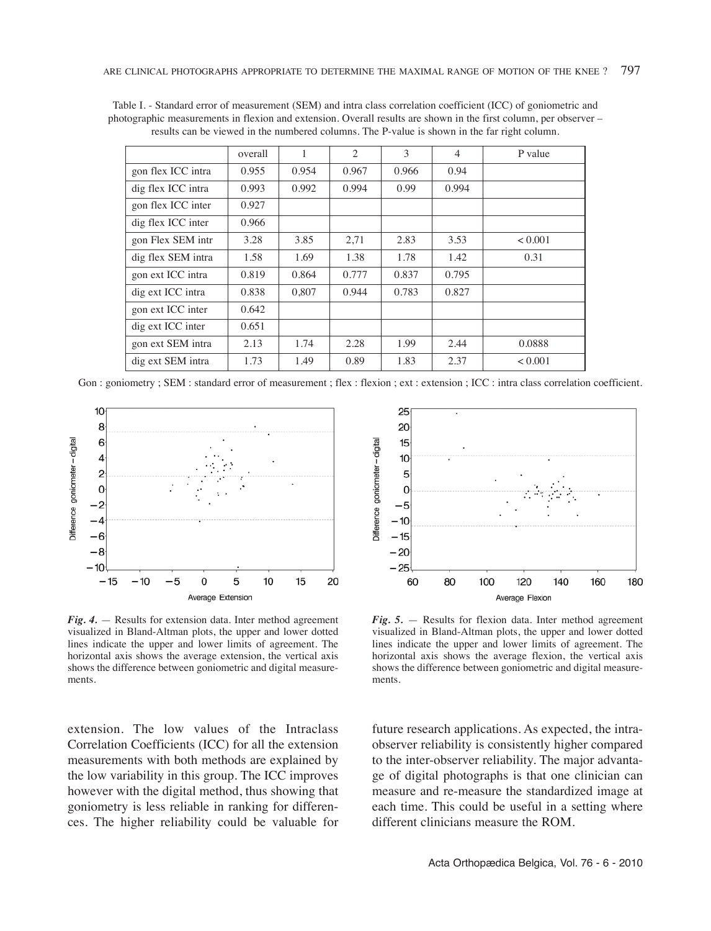|                    | overall | 1     | $\mathcal{L}$ | 3     | $\overline{4}$ | P value |
|--------------------|---------|-------|---------------|-------|----------------|---------|
| gon flex ICC intra | 0.955   | 0.954 | 0.967         | 0.966 | 0.94           |         |
| dig flex ICC intra | 0.993   | 0.992 | 0.994         | 0.99  | 0.994          |         |
| gon flex ICC inter | 0.927   |       |               |       |                |         |
| dig flex ICC inter | 0.966   |       |               |       |                |         |
| gon Flex SEM intr  | 3.28    | 3.85  | 2,71          | 2.83  | 3.53           | < 0.001 |
| dig flex SEM intra | 1.58    | 1.69  | 1.38          | 1.78  | 1.42           | 0.31    |
| gon ext ICC intra  | 0.819   | 0.864 | 0.777         | 0.837 | 0.795          |         |
| dig ext ICC intra  | 0.838   | 0.807 | 0.944         | 0.783 | 0.827          |         |
| gon ext ICC inter  | 0.642   |       |               |       |                |         |
| dig ext ICC inter  | 0.651   |       |               |       |                |         |
| gon ext SEM intra  | 2.13    | 1.74  | 2.28          | 1.99  | 2.44           | 0.0888  |
| dig ext SEM intra  | 1.73    | 1.49  | 0.89          | 1.83  | 2.37           | < 0.001 |

Table I. - Standard error of measurement (SEM) and intra class correlation coefficient (ICC) of goniometric and photographic measurements in flexion and extension. Overall results are shown in the first column, per observer – results can be viewed in the numbered columns. the P-value is shown in the far right column.

Gon : goniometry ; SEM : standard error of measurement ; flex : flexion ; ext : extension ; ICC : intra class correlation coefficient.



 $Fig. 4.$  — Results for extension data. Inter method agreement visualized in Bland-Altman plots, the upper and lower dotted lines indicate the upper and lower limits of agreement. The horizontal axis shows the average extension, the vertical axis shows the difference between goniometric and digital measurements.

extension. The low values of the Intraclass Correlation Coefficients (ICC) for all the extension measurements with both methods are explained by the low variability in this group. The ICC improves however with the digital method, thus showing that goniometry is less reliable in ranking for differences. the higher reliability could be valuable for



 $Fig. 5.$  — Results for flexion data. Inter method agreement visualized in Bland-Altman plots, the upper and lower dotted lines indicate the upper and lower limits of agreement. The horizontal axis shows the average flexion, the vertical axis shows the difference between goniometric and digital measurements.

future research applications. As expected, the intraobserver reliability is consistently higher compared to the inter-observer reliability. The major advantage of digital photographs is that one clinician can measure and re-measure the standardized image at each time. This could be useful in a setting where different clinicians measure the ROM.